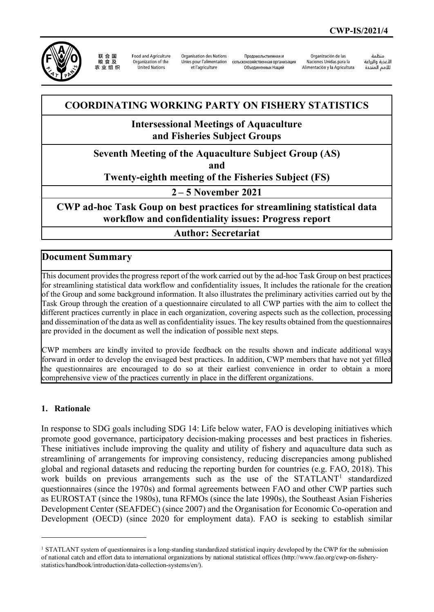

联合国 农业组织

**Food and Agriculture** Organization of the United Nations

Organisation des Nations Unies pour l'alimentation et l'agriculture

Продовольственная и сельскохозяйственная организация Объединенных Наций

Organización de las Naciones Unidas para la Alimentación y la Agricultura

änhin الأغذية والزراعة التعدية والزراعة<br>للأمم المتحدة

## **COORDINATING WORKING PARTY ON FISHERY STATISTICS**

### **Intersessional Meetings of Aquaculture and Fisheries Subject Groups**

#### **Seventh Meeting of the Aquaculture Subject Group (AS)**

**and** 

#### **Twenty-eighth meeting of the Fisheries Subject (FS)**

**2 – 5 November 2021**

### **CWP ad-hoc Task Goup on best practices for streamlining statistical data workflow and confidentiality issues: Progress report**

#### **Author: Secretariat**

#### **Document Summary**

This document provides the progress report of the work carried out by the ad-hoc Task Group on best practices for streamlining statistical data workflow and confidentiality issues, It includes the rationale for the creation of the Group and some background information. It also illustrates the preliminary activities carried out by the Task Group through the creation of a questionnaire circulated to all CWP parties with the aim to collect the different practices currently in place in each organization, covering aspects such as the collection, processing and dissemination of the data as well as confidentiality issues. The key results obtained from the questionnaires are provided in the document as well the indication of possible next steps.

CWP members are kindly invited to provide feedback on the results shown and indicate additional ways forward in order to develop the envisaged best practices. In addition, CWP members that have not yet filled the questionnaires are encouraged to do so at their earliest convenience in order to obtain a more comprehensive view of the practices currently in place in the different organizations.

#### **1. Rationale**

In response to SDG goals including SDG 14: Life below water, FAO is developing initiatives which promote good governance, participatory decision-making processes and best practices in fisheries. These initiatives include improving the quality and utility of fishery and aquaculture data such as streamlining of arrangements for improving consistency, reducing discrepancies among published global and regional datasets and reducing the reporting burden for countries (e.g. FAO, 2018). This work builds on previous arrangements such as the use of the  $STATLANT<sup>1</sup>$  $STATLANT<sup>1</sup>$  $STATLANT<sup>1</sup>$  standardized questionnaires (since the 1970s) and formal agreements between FAO and other CWP parties such as EUROSTAT (since the 1980s), tuna RFMOs (since the late 1990s), the Southeast Asian Fisheries Development Center (SEAFDEC) (since 2007) and the Organisation for Economic Co-operation and Development (OECD) (since 2020 for employment data). FAO is seeking to establish similar

<span id="page-0-0"></span><sup>&</sup>lt;sup>1</sup> STATLANT system of questionnaires is a long-standing standardized statistical inquiry developed by the CWP for the submission of national catch and effort data to international organizations by national statistical offices (http://www.fao.org/cwp-on-fisherystatistics/handbook/introduction/data-collection-systems/en/).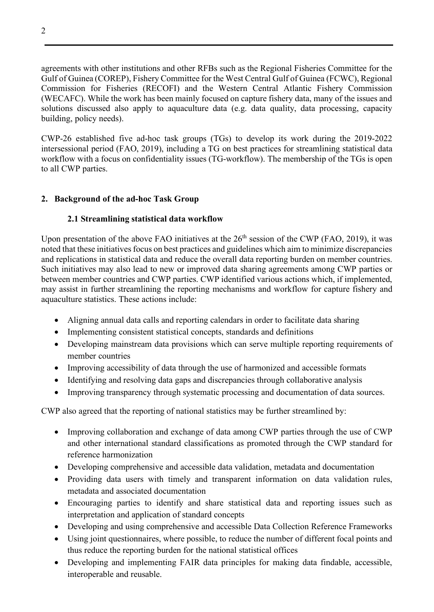agreements with other institutions and other RFBs such as the Regional Fisheries Committee for the Gulf of Guinea (COREP), Fishery Committee for the West Central Gulf of Guinea (FCWC), Regional Commission for Fisheries (RECOFI) and the Western Central Atlantic Fishery Commission (WECAFC). While the work has been mainly focused on capture fishery data, many of the issues and solutions discussed also apply to aquaculture data (e.g. data quality, data processing, capacity building, policy needs).

CWP-26 established five ad-hoc task groups (TGs) to develop its work during the 2019-2022 intersessional period (FAO, 2019), including a TG on best practices for streamlining statistical data workflow with a focus on confidentiality issues (TG-workflow). The membership of the TGs is open to all CWP parties.

#### **2. Background of the ad-hoc Task Group**

#### **2.1 Streamlining statistical data workflow**

Upon presentation of the above FAO initiatives at the  $26<sup>th</sup>$  session of the CWP (FAO, 2019), it was noted that these initiatives focus on best practices and guidelines which aim to minimize discrepancies and replications in statistical data and reduce the overall data reporting burden on member countries. Such initiatives may also lead to new or improved data sharing agreements among CWP parties or between member countries and CWP parties. CWP identified various actions which, if implemented, may assist in further streamlining the reporting mechanisms and workflow for capture fishery and aquaculture statistics. These actions include:

- Aligning annual data calls and reporting calendars in order to facilitate data sharing
- Implementing consistent statistical concepts, standards and definitions
- Developing mainstream data provisions which can serve multiple reporting requirements of member countries
- Improving accessibility of data through the use of harmonized and accessible formats
- Identifying and resolving data gaps and discrepancies through collaborative analysis
- Improving transparency through systematic processing and documentation of data sources.

CWP also agreed that the reporting of national statistics may be further streamlined by:

- Improving collaboration and exchange of data among CWP parties through the use of CWP and other international standard classifications as promoted through the CWP standard for reference harmonization
- Developing comprehensive and accessible data validation, metadata and documentation
- Providing data users with timely and transparent information on data validation rules, metadata and associated documentation
- Encouraging parties to identify and share statistical data and reporting issues such as interpretation and application of standard concepts
- Developing and using comprehensive and accessible Data Collection Reference Frameworks
- Using joint questionnaires, where possible, to reduce the number of different focal points and thus reduce the reporting burden for the national statistical offices
- Developing and implementing FAIR data principles for making data findable, accessible, interoperable and reusable.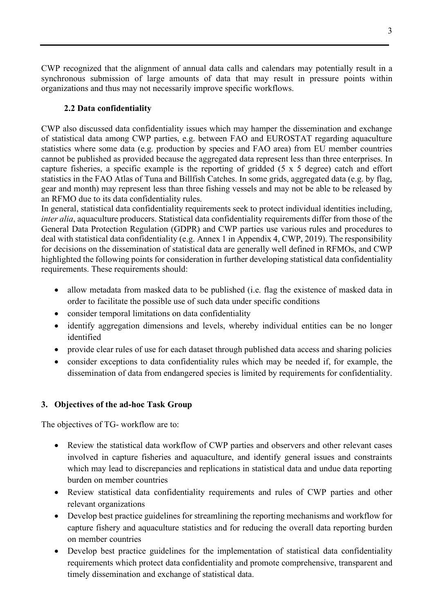CWP recognized that the alignment of annual data calls and calendars may potentially result in a synchronous submission of large amounts of data that may result in pressure points within organizations and thus may not necessarily improve specific workflows.

#### **2.2 Data confidentiality**

CWP also discussed data confidentiality issues which may hamper the dissemination and exchange of statistical data among CWP parties, e.g. between FAO and EUROSTAT regarding aquaculture statistics where some data (e.g. production by species and FAO area) from EU member countries cannot be published as provided because the aggregated data represent less than three enterprises. In capture fisheries, a specific example is the reporting of gridded (5 x 5 degree) catch and effort statistics in the FAO Atlas of Tuna and Billfish Catches. In some grids, aggregated data (e.g. by flag, gear and month) may represent less than three fishing vessels and may not be able to be released by an RFMO due to its data confidentiality rules.

In general, statistical data confidentiality requirements seek to protect individual identities including, *inter alia*, aquaculture producers. Statistical data confidentiality requirements differ from those of the General Data Protection Regulation (GDPR) and CWP parties use various rules and procedures to deal with statistical data confidentiality (e.g. Annex 1 in Appendix 4, CWP, 2019). The responsibility for decisions on the dissemination of statistical data are generally well defined in RFMOs, and CWP highlighted the following points for consideration in further developing statistical data confidentiality requirements. These requirements should:

- allow metadata from masked data to be published (i.e. flag the existence of masked data in order to facilitate the possible use of such data under specific conditions
- consider temporal limitations on data confidentiality
- identify aggregation dimensions and levels, whereby individual entities can be no longer identified
- provide clear rules of use for each dataset through published data access and sharing policies
- consider exceptions to data confidentiality rules which may be needed if, for example, the dissemination of data from endangered species is limited by requirements for confidentiality.

#### **3. Objectives of the ad-hoc Task Group**

The objectives of TG- workflow are to:

- Review the statistical data workflow of CWP parties and observers and other relevant cases involved in capture fisheries and aquaculture, and identify general issues and constraints which may lead to discrepancies and replications in statistical data and undue data reporting burden on member countries
- Review statistical data confidentiality requirements and rules of CWP parties and other relevant organizations
- Develop best practice guidelines for streamlining the reporting mechanisms and workflow for capture fishery and aquaculture statistics and for reducing the overall data reporting burden on member countries
- Develop best practice guidelines for the implementation of statistical data confidentiality requirements which protect data confidentiality and promote comprehensive, transparent and timely dissemination and exchange of statistical data.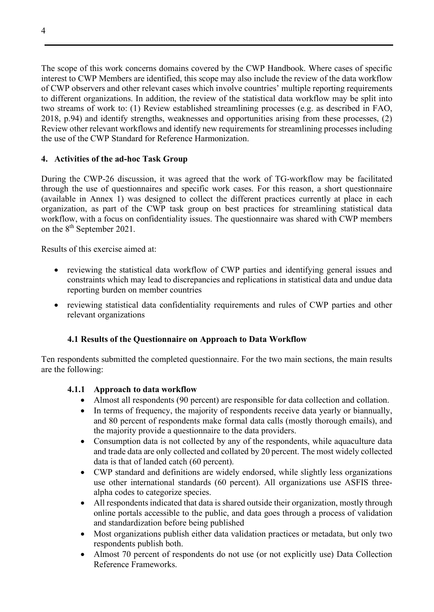The scope of this work concerns domains covered by the CWP Handbook. Where cases of specific interest to CWP Members are identified, this scope may also include the review of the data workflow of CWP observers and other relevant cases which involve countries' multiple reporting requirements to different organizations. In addition, the review of the statistical data workflow may be split into two streams of work to: (1) Review established streamlining processes (e.g. as described in FAO, 2018, p.94) and identify strengths, weaknesses and opportunities arising from these processes, (2) Review other relevant workflows and identify new requirements for streamlining processes including the use of the CWP Standard for Reference Harmonization.

#### **4. Activities of the ad-hoc Task Group**

During the CWP-26 discussion, it was agreed that the work of TG-workflow may be facilitated through the use of questionnaires and specific work cases. For this reason, a short questionnaire (available in Annex 1) was designed to collect the different practices currently at place in each organization, as part of the CWP task group on best practices for streamlining statistical data workflow, with a focus on confidentiality issues. The questionnaire was shared with CWP members on the 8<sup>th</sup> September 2021.

Results of this exercise aimed at:

- reviewing the statistical data workflow of CWP parties and identifying general issues and constraints which may lead to discrepancies and replications in statistical data and undue data reporting burden on member countries
- reviewing statistical data confidentiality requirements and rules of CWP parties and other relevant organizations

#### **4.1 Results of the Questionnaire on Approach to Data Workflow**

Ten respondents submitted the completed questionnaire. For the two main sections, the main results are the following:

#### **4.1.1 Approach to data workflow**

- Almost all respondents (90 percent) are responsible for data collection and collation.
- In terms of frequency, the majority of respondents receive data yearly or biannually, and 80 percent of respondents make formal data calls (mostly thorough emails), and the majority provide a questionnaire to the data providers.
- Consumption data is not collected by any of the respondents, while aquaculture data and trade data are only collected and collated by 20 percent. The most widely collected data is that of landed catch (60 percent).
- CWP standard and definitions are widely endorsed, while slightly less organizations use other international standards (60 percent). All organizations use ASFIS threealpha codes to categorize species.
- All respondents indicated that data is shared outside their organization, mostly through online portals accessible to the public, and data goes through a process of validation and standardization before being published
- Most organizations publish either data validation practices or metadata, but only two respondents publish both.
- Almost 70 percent of respondents do not use (or not explicitly use) Data Collection Reference Frameworks.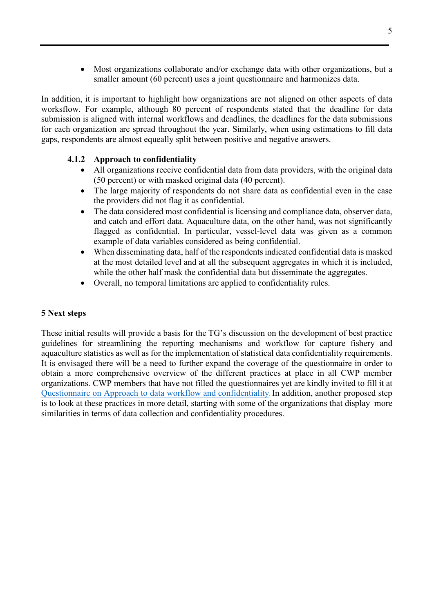• Most organizations collaborate and/or exchange data with other organizations, but a smaller amount (60 percent) uses a joint questionnaire and harmonizes data.

In addition, it is important to highlight how organizations are not aligned on other aspects of data worksflow. For example, although 80 percent of respondents stated that the deadline for data submission is aligned with internal workflows and deadlines, the deadlines for the data submissions for each organization are spread throughout the year. Similarly, when using estimations to fill data gaps, respondents are almost equeally split between positive and negative answers.

#### **4.1.2 Approach to confidentiality**

- All organizations receive confidential data from data providers, with the original data (50 percent) or with masked original data (40 percent).
- The large majority of respondents do not share data as confidential even in the case the providers did not flag it as confidential.
- The data considered most confidential is licensing and compliance data, observer data, and catch and effort data. Aquaculture data, on the other hand, was not significantly flagged as confidential. In particular, vessel-level data was given as a common example of data variables considered as being confidential.
- When disseminating data, half of the respondents indicated confidential data is masked at the most detailed level and at all the subsequent aggregates in which it is included, while the other half mask the confidential data but disseminate the aggregates.
- Overall, no temporal limitations are applied to confidentiality rules.

#### **5 Next steps**

These initial results will provide a basis for the TG's discussion on the development of best practice guidelines for streamlining the reporting mechanisms and workflow for capture fishery and aquaculture statistics as well as for the implementation of statistical data confidentiality requirements. It is envisaged there will be a need to further expand the coverage of the questionnaire in order to obtain a more comprehensive overview of the different practices at place in all CWP member organizations. CWP members that have not filled the questionnaires yet are kindly invited to fill it at [Questionnaire on Approach to data workflow and confidentiality.](https://forms.gle/pEiMMKCdnsZpx4k19) In addition, another proposed step is to look at these practices in more detail, starting with some of the organizations that display more similarities in terms of data collection and confidentiality procedures.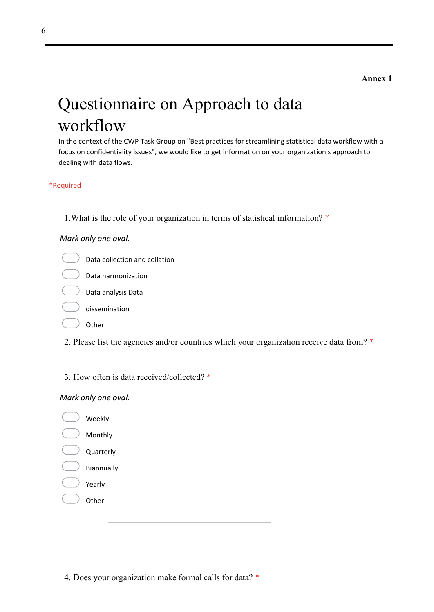# Questionnaire on Approach to data workflow

In the context of the CWP Task Group on "Best practices for streamlining statistical data workflow with a focus on confidentiality issues", we would like to get information on your organization's approach to dealing with data flows.

\*Required

1.What is the role of your organization in terms of statistical information? \*

#### *Mark only one oval.*

- Data collection and collation
	- $\overline{a}$  Data harmonization
- Data analysis Data
- dissemination
- Other:
- 2. Please list the agencies and/or countries which your organization receive data from? \*
- 3. How often is data received/collected? \*

#### *Mark only one oval.*

Weekly Monthly Quarterly Biannually Yearly Other:

4. Does your organization make formal calls for data? \*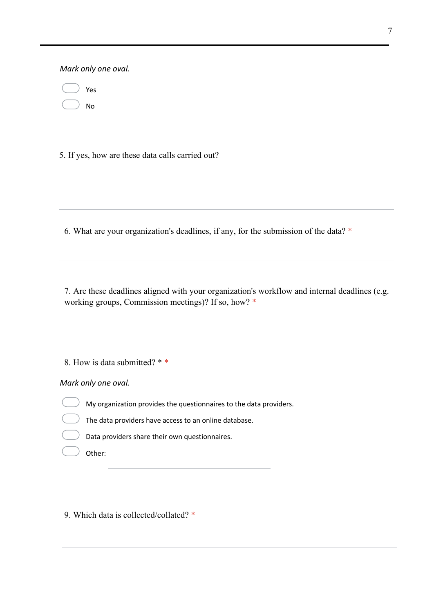*Mark only one oval.*

| Yes |
|-----|
| No  |

5. If yes, how are these data calls carried out?

6. What are your organization's deadlines, if any, for the submission of the data? \*

7. Are these deadlines aligned with your organization's workflow and internal deadlines (e.g. working groups, Commission meetings)? If so, how? \*

8. How is data submitted? \* \*

*Mark only one oval.*

My organization provides the questionnaires to the data providers.

The data providers have access to an online database.

Data providers share their own questionnaires.

Other:

9. Which data is collected/collated? \*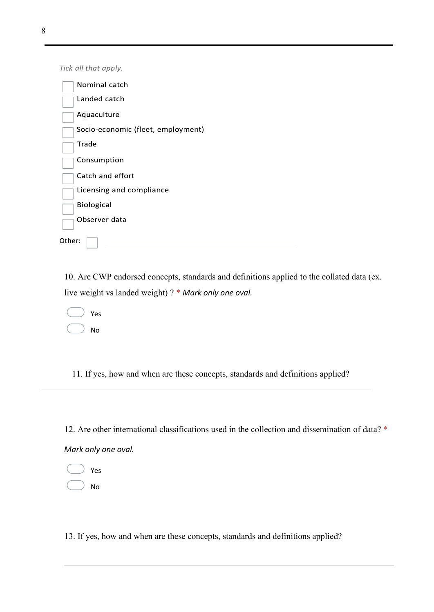Tick all that apply.

| Nominal catch                      |
|------------------------------------|
| Landed catch                       |
| Aquaculture                        |
| Socio-economic (fleet, employment) |
| Trade                              |
| Consumption                        |
| Catch and effort                   |
| Licensing and compliance           |
| <b>Biological</b>                  |
| Observer data                      |
| Other:                             |

10. Are CWP endorsed concepts, standards and definitions applied to the collated data (ex. live weight vs landed weight) ? \* *Mark only one oval.*

|  | Yes |
|--|-----|
|  | No  |

11. If yes, how and when are these concepts, standards and definitions applied?

12. Are other international classifications used in the collection and dissemination of data? \* *Mark only one oval.*

Yes No

13. If yes, how and when are these concepts, standards and definitions applied?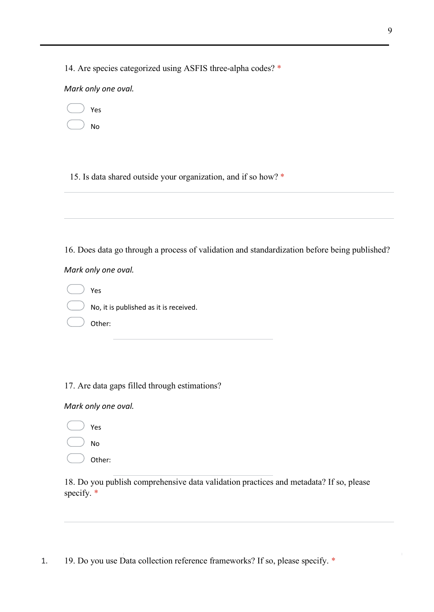14. Are species categorized using ASFIS three-alpha codes? \*

*Mark only one oval.*

|  |  | z |
|--|--|---|
|--|--|---|

No

15. Is data shared outside your organization, and if so how? \*

16. Does data go through a process of validation and standardization before being published?

*Mark only one oval.*

Yes No, it is published as it is received. Other:

17. Are data gaps filled through estimations?

*Mark only one oval.*

Yes No

Other:

18. Do you publish comprehensive data validation practices and metadata? If so, please specify. \*

1. 19. Do you use Data collection reference frameworks? If so, please specify. \*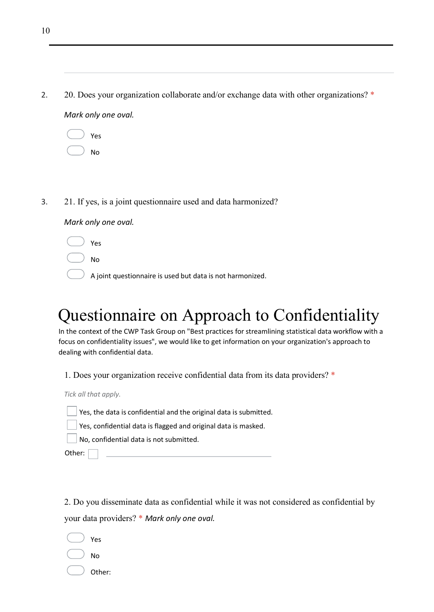| 20. Does your organization collaborate and/or exchange data with other organizations? * |
|-----------------------------------------------------------------------------------------|
| Mark only one oval.                                                                     |

| Yes |
|-----|
| No  |

3. 21. If yes, is a joint questionnaire used and data harmonized?

#### *Mark only one oval.*

- Yes
- No
	- A joint questionnaire is used but data is not harmonized.

# Questionnaire on Approach to Confidentiality

In the context of the CWP Task Group on "Best practices for streamlining statistical data workflow with a focus on confidentiality issues", we would like to get information on your organization's approach to dealing with confidential data.

1. Does your organization receive confidential data from its data providers? \*

*Tick all that apply.*

Yes, the data is confidential and the original data is submitted.

Yes, confidential data is flagged and original data is masked.

No, confidential data is not submitted.

Other:

2. Do you disseminate data as confidential while it was not considered as confidential by your data providers? \* *Mark only one oval.*

- Yes
- No
- Other: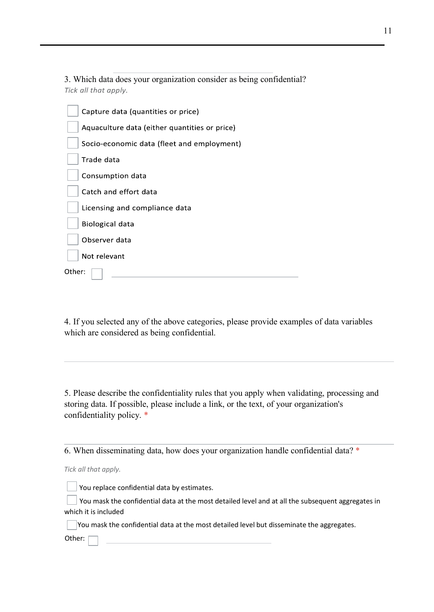3. Which data does your organization consider as being confidential? Tick all that apply.

| Capture data (quantities or price)            |
|-----------------------------------------------|
| Aquaculture data (either quantities or price) |
| Socio-economic data (fleet and employment)    |
| Trade data                                    |
| Consumption data                              |
| Catch and effort data                         |
| Licensing and compliance data                 |
| Biological data                               |
| Observer data                                 |
| Not relevant                                  |
| Other:                                        |

4. If you selected any of the above categories, please provide examples of data variables which are considered as being confidential.

5. Please describe the confidentiality rules that you apply when validating, processing and storing data. If possible, please include a link, or the text, of your organization's confidentiality policy. \*

6. When disseminating data, how does your organization handle confidential data? \*

*Tick all that apply.*

 $\Box$  You replace confidential data by estimates.

You mask the confidential data at the most detailed level and at all the subsequent aggregates in which it is included

You mask the confidential data at the most detailed level but disseminate the aggregates.

Other: